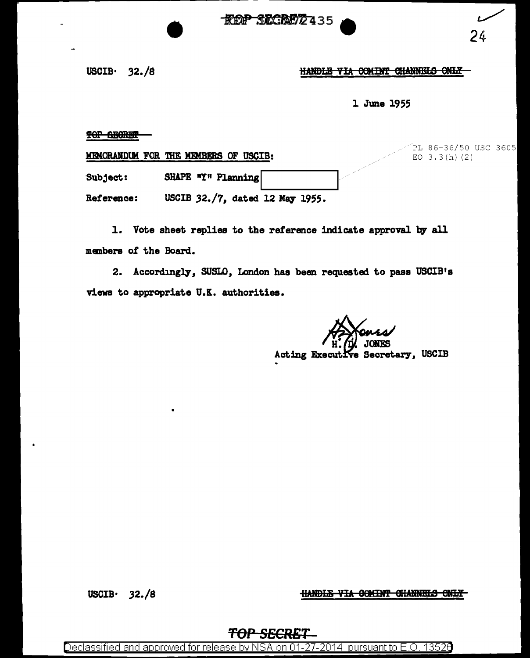**\*REP SECRETZ 435** 



 $PC$  36/50 USC 3605

USCIB $\cdot$  32./8

•

HANDLE VIA COMINT CHANNELS ONLY

l June 1955

TOP SECRET

|            | MEMORANDUM FOR THE MEMBERS OF USCIB: |  | LT 00-90\90 ASC 90A9<br>$EO$ 3.3(h)(2) |  |
|------------|--------------------------------------|--|----------------------------------------|--|
| Subject:   | SHAPE "Y" Planning                   |  |                                        |  |
| Reference: | USCIB 32./7, dated 12 May 1955.      |  |                                        |  |

1. Vote sheet replies to the reference indicate approval by all manbers of the Board.

2. Accordingly, SUSLO, London has been requested to pass USCIB's views to appropriate U.K. authorities.

> JORFS Acting Executive Secretary, USCIB

USCIB· 32./8

HANDLE VIA COMINT CHANNELS ONLY

### *TOP SECRET*

Declassified and approved for release by NSA on 01-27-2014 pursuant to E.O. 13520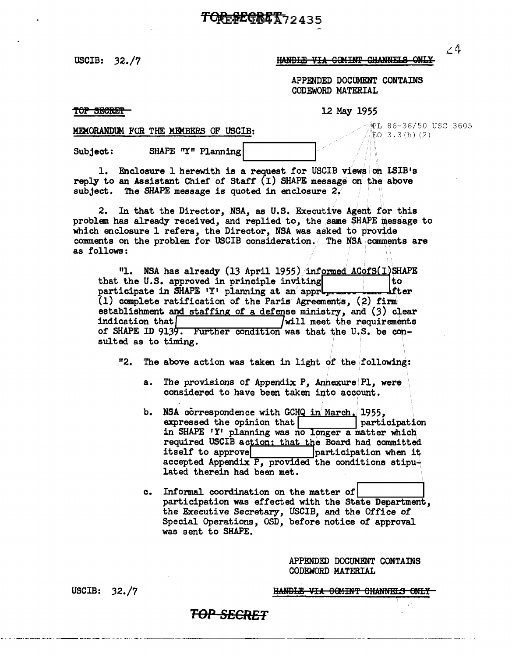USCIB:  $32./7$ 

#### HANDLE VIA COMINT CHANNELS ONLY

APPENDED DOCUMENT CONTAINS CODEWORD MATERIAL

TOP SECRET

12 May 1955

MEMORANDUM FOR THE MEMBERS OF USCIB:

SHAPE "Y" Planning Subject:

1. Enclosure 1 herewith is a request for USCIB views on ISIB's reply to an Assistant Chief of Staff  $(I)$  SHAPE message on the above subject. The SHAPE message is quoted in enclosure  $2/$ 

2. In that the Director, NSA, as U.S. Executive Agent for this problem has already received, and replied to, the same SHAPE message to which enclosure 1 refers, the Director, NSA was asked to provide comments on the problem for USCIB consideration. The NSA comments are as follows:

"1. NSA has already (13 April 1955) informed ACofS(I)SHAPE that the U.S. approved in principle inviting tо fter participate in SHAPE 'Y' planning at an appropri  $(1)$  complete ratification of the Paris Agreements,  $(2)$  firm establishment and staffing of a defense ministry, and (3) clear indication that  $\lceil$ will meet the requirements of SHAPE ID 9139. Further condition was that the U.S. be consulted as to timing.

"2. The above action was taken in light of the following:

- The provisions of Appendix P, Annexure Pl, were  $a_{\bullet}$ considered to have been taken into account.
- NSA correspondence with GCHQ in March. 1955,  $b_{\bullet}$ expressed the opinion that | participation in SHAPE 'Y' planning was no longer a matter which required USCIB action: that the Board had committed participation when it itself to approve accepted Appendix P, provided the conditions stipulated therein had been met.
- c. Informal coordination on the matter of participation was effected with the State Department. the Executive Secretary, USCIB, and the Office of Special Operations, OSD, before notice of approval was sent to SHAPE.

APPENDED DOCUMENT CONTAINS CODEWORD MATERIAL

HANDLE VIA GOMINT CHANNELS ONLY-

USCIB: 32./7

### T<del>OP SECRET</del>

 $\angle$ <sup>4</sup>

⊉L 86-36/50 USC 3605

 $EO$  3.3(h)(2)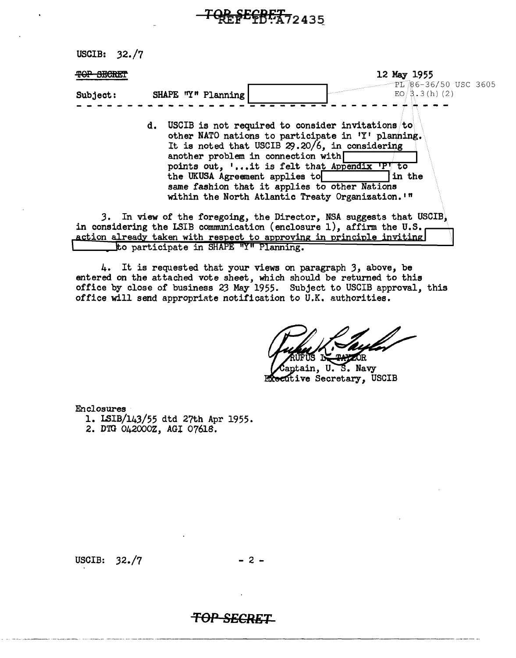# **QP SECRET** 2435

USCIB: 32. /7

| <b>MAD GRODER</b> |                                                                                                                                                                                                                                                                                                                                                                                           | 12 May 1955                             |
|-------------------|-------------------------------------------------------------------------------------------------------------------------------------------------------------------------------------------------------------------------------------------------------------------------------------------------------------------------------------------------------------------------------------------|-----------------------------------------|
| Subject:          | SHAPE "Y" Planning                                                                                                                                                                                                                                                                                                                                                                        | PL 86-36/50 USC 3605<br>$EO/3.3(h)$ (2) |
|                   | d. USCIB is not required to consider invitations to<br>other NATO nations to participate in 'Y' planning.<br>It is noted that USCIB 29.20/6, in considering<br>another problem in connection with<br>points out, 'it is felt that Appendix 'P' to<br>the UKUSA Agreement applies to<br>same fashion that it applies to other Nations<br>within the North Atlantic Treaty Organization. "" | in the                                  |
|                   | 3. In view of the foregoing, the Director, NSA suggests that USCIB,<br>in considering the LSIB communication (enclosure 1), affirm the U.S.<br>action already taken with respect to approving in principle inviting                                                                                                                                                                       |                                         |
|                   | to participate in SHAPE "Y" Planning.                                                                                                                                                                                                                                                                                                                                                     |                                         |

4. It is requested that your views on paragraph *3,* above, be entered on the attached vote sheet, which should be returned to this office by close of business 23 May 1955. Subject to USCIB approval, this office will send appropriate notification to U.K. authorities.

ĴR.

aptain, U.S. Navy Executive Secretary, USCIB

Enclosures

- 1. LSIB/143/55 dtd 27th Apr 1955.
- 2. DTG 042000Z, AGI 07618.

USCIB:  $32./7$  - 2 -

## **TOP SECRET-**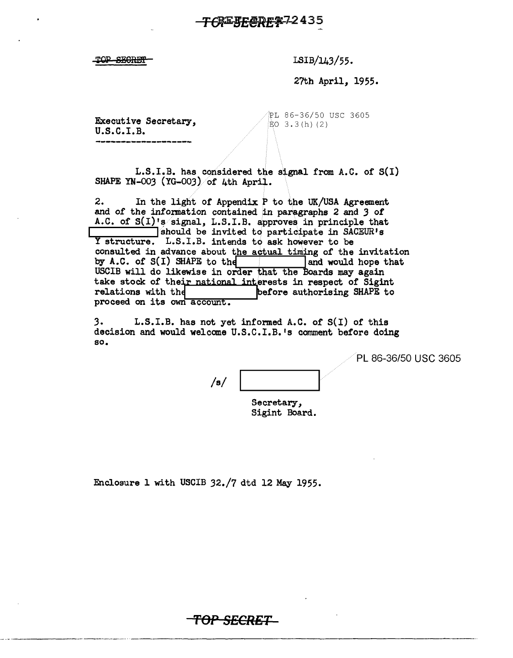### <del>CREFEC</del>REX72435

TOP SECRET

LSIB/143/55.

27th April, 1955.

Executive Secretary, u.s.c.I.B.

~L 86-36/50 USC 3605  $EO$  3.3(h)(2)

L.S.I.B. has considered the signal from A.C. of S(I) SHAPE YN-003 (YG-003) of 4th April.

2. In the light of Appendix P to the UK/USA Agreement and of the information contained in paragraphs 2 and *3* of A.C. of  $S(I)$  's signal, L.S.I.B. approves in principle that I should be invited to participate in SACEUR's Y structure. L.S.I.B. intends to ask however to be consulted in advance about the actual timing of the invitation by A.C. of  $S(I)$  SHAPE to the  $\qquad$  and would hope that USCIB will do likewise in order that the Boards may again take stock of their national interests in respect of Sigint relations with the performe authorising SHAPE to proceed on its own account.

3. L.S.I.B. has not yet informed A.C. of S(I) of this decision and would welcome U.S.C.I.B. <sup>1</sup>s comment before doing so.

PL 86-36/50 USC 3605

--------------·---···

/s/

Secretary, Sigint Board.

Enclosure l with USCIB 32./7 dtd 12 May 1955.

**TOP SECRET**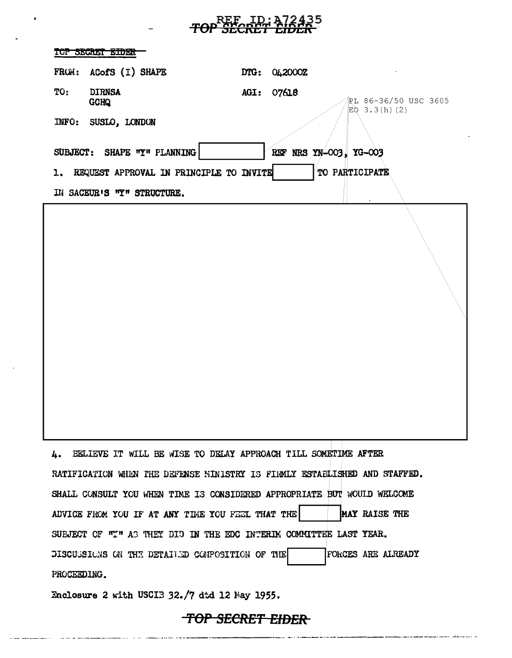# **FOP SECRET EIDER**

| TOP SECRET EIDER                                                                               |
|------------------------------------------------------------------------------------------------|
| FROM: ACofS (I) SHAPE<br>DTG: 042000Z                                                          |
| TO:<br><b>DIRNSA</b><br>07618<br>AGI:<br>PL 86-36/50 USC 3605<br><b>GCHQ</b><br>$EQ$ 3.3(h)(2) |
| INFO: SUSLO, LONDON                                                                            |
| SUBJECT: SHAPE "Y" PLANNING<br>REF NRS YN-003, YG-003                                          |
| TO PARTICIPATE<br>1. REQUEST APPROVAL IN PRINCIPLE TO INVITE                                   |
| IN SACEUR'S TY" STRUCTURE.                                                                     |
|                                                                                                |
| BELIEVE IT WILL BE WISE TO DELAY APPROACH TILL SOMETIME AFTER<br>Ŀ.                            |
| RATIFICATION WHEN THE DEFENSE HINISTRY IS FIRMLY ESTABLISHED AND STAFFED.                      |
| SHALL CONSULT YOU WHEN TIME IS CONSIDERED APPROPRIATE BUT WOULD WELCOME                        |
| ADVICE FROM YOU IF AT ANY TIME YOU FEEL THAT THE<br>MAY RAISE THE                              |
| SUBJECT OF "I" AS THEY DID IN THE EDC INTERIM COMMITTEE LAST YEAR.                             |
| DISCUSSIONS ON THE DETAILED COMPOSITION OF THE<br><b>FORCES ARE ALREADY</b>                    |
| PROCEEDING.                                                                                    |
| Enclosure 2 with USCIB 32./7 dtd 12 May 1955.                                                  |

## TOP SECRET EIDER

 $\cdots$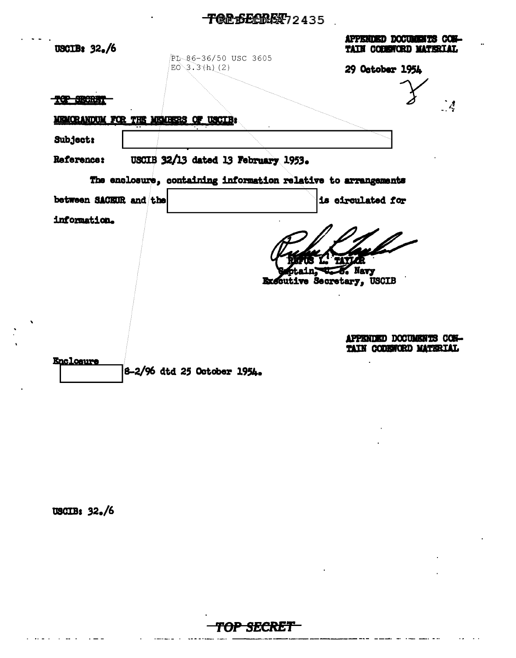## **TOP SECTORY** 2435

| USCIB: $32./6$         | PL-86-36/50 USC 3605                                           | <b>APPENDED DOCUMENTS CON-</b><br>TAIN COBENCRD MATERIAL |
|------------------------|----------------------------------------------------------------|----------------------------------------------------------|
|                        | $E0 \ 3.3(h) (2)$                                              | 29 October 1954                                          |
| re estadou             |                                                                |                                                          |
|                        | MEMORANDUM FOR THE MEMBERS OF USCIB                            |                                                          |
| <b>Subject:</b>        |                                                                |                                                          |
| Reference:             | USCIB 32/13 dated 13 February 1953.                            |                                                          |
|                        | The enclosure, containing information relative to arrangements |                                                          |
| between SACEUR and the |                                                                | is circulated for                                        |
| information.           |                                                                |                                                          |
|                        |                                                                |                                                          |
|                        |                                                                | TIYLA<br>ptain, J. S. Navy                               |
|                        |                                                                | Executive Secretary, USCIB                               |
|                        |                                                                |                                                          |
|                        |                                                                |                                                          |
|                        |                                                                | APPENDED DOCUMENTS CON-<br>TAIN CODEWORD MATERIAL        |
| <b>Enclosure</b>       | 8-2/96 dtd 25 October 1954.                                    |                                                          |

## **USCIB: 32./6**



÷,